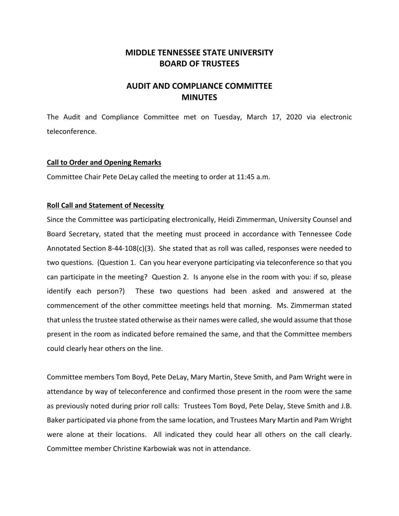## **MIDDLE TENNESSEE STATE UNIVERSITY BOARD OF TRUSTEES**

# **AUDIT AND COMPLIANCE COMMITTEE MINUTES**

The Audit and Compliance Committee met on Tuesday, March 17, 2020 via electronic teleconference.

#### **Call to Order and Opening Remarks**

Committee Chair Pete DeLay called the meeting to order at 11:45 a.m.

#### **Roll Call and Statement of Necessity**

Since the Committee was participating electronically, Heidi Zimmerman, University Counsel and Board Secretary, stated that the meeting must proceed in accordance with Tennessee Code Annotated Section 8-44-108(c)(3). She stated that as roll was called, responses were needed to two questions. (Question 1. Can you hear everyone participating via teleconference so that you can participate in the meeting? Question 2. Is anyone else in the room with you: if so, please identify each person?) These two questions had been asked and answered at the commencement of the other committee meetings held that morning. Ms. Zimmerman stated that unless the trustee stated otherwise as their names were called, she would assume that those present in the room as indicated before remained the same, and that the Committee members could clearly hear others on the line.

Committee members Tom Boyd, Pete DeLay, Mary Martin, Steve Smith, and Pam Wright were in attendance by way of teleconference and confirmed those present in the room were the same as previously noted during prior roll calls: Trustees Tom Boyd, Pete Delay, Steve Smith and J.B. Baker participated via phone from the same location, and Trustees Mary Martin and Pam Wright were alone at their locations. All indicated they could hear all others on the call clearly. Committee member Christine Karbowiak was not in attendance.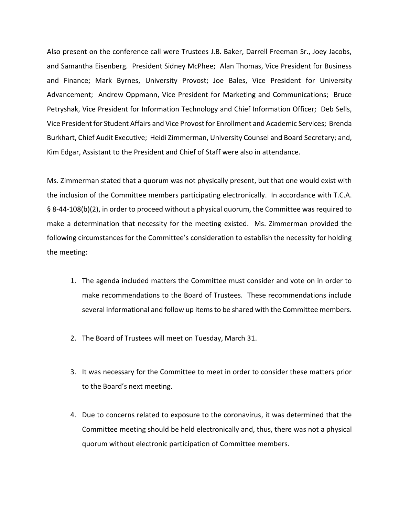Also present on the conference call were Trustees J.B. Baker, Darrell Freeman Sr., Joey Jacobs, and Samantha Eisenberg. President Sidney McPhee; Alan Thomas, Vice President for Business and Finance; Mark Byrnes, University Provost; Joe Bales, Vice President for University Advancement; Andrew Oppmann, Vice President for Marketing and Communications; Bruce Petryshak, Vice President for Information Technology and Chief Information Officer; Deb Sells, Vice President for Student Affairs and Vice Provost for Enrollment and Academic Services; Brenda Burkhart, Chief Audit Executive; Heidi Zimmerman, University Counsel and Board Secretary; and, Kim Edgar, Assistant to the President and Chief of Staff were also in attendance.

Ms. Zimmerman stated that a quorum was not physically present, but that one would exist with the inclusion of the Committee members participating electronically. In accordance with T.C.A. § 8-44-108(b)(2), in order to proceed without a physical quorum, the Committee was required to make a determination that necessity for the meeting existed. Ms. Zimmerman provided the following circumstances for the Committee's consideration to establish the necessity for holding the meeting:

- 1. The agenda included matters the Committee must consider and vote on in order to make recommendations to the Board of Trustees. These recommendations include several informational and follow up items to be shared with the Committee members.
- 2. The Board of Trustees will meet on Tuesday, March 31.
- 3. It was necessary for the Committee to meet in order to consider these matters prior to the Board's next meeting.
- 4. Due to concerns related to exposure to the coronavirus, it was determined that the Committee meeting should be held electronically and, thus, there was not a physical quorum without electronic participation of Committee members.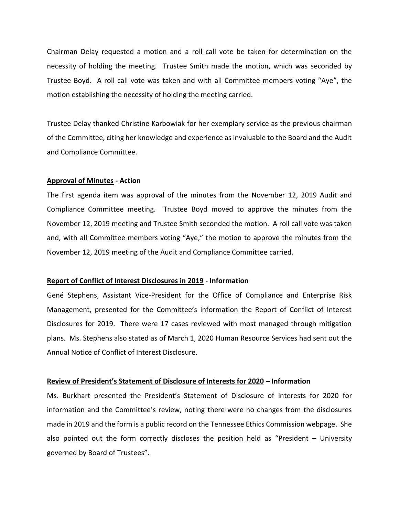Chairman Delay requested a motion and a roll call vote be taken for determination on the necessity of holding the meeting. Trustee Smith made the motion, which was seconded by Trustee Boyd. A roll call vote was taken and with all Committee members voting "Aye", the motion establishing the necessity of holding the meeting carried.

Trustee Delay thanked Christine Karbowiak for her exemplary service as the previous chairman of the Committee, citing her knowledge and experience as invaluable to the Board and the Audit and Compliance Committee.

#### **Approval of Minutes - Action**

The first agenda item was approval of the minutes from the November 12, 2019 Audit and Compliance Committee meeting. Trustee Boyd moved to approve the minutes from the November 12, 2019 meeting and Trustee Smith seconded the motion. A roll call vote was taken and, with all Committee members voting "Aye," the motion to approve the minutes from the November 12, 2019 meeting of the Audit and Compliance Committee carried.

#### **Report of Conflict of Interest Disclosures in 2019 - Information**

Gené Stephens, Assistant Vice-President for the Office of Compliance and Enterprise Risk Management, presented for the Committee's information the Report of Conflict of Interest Disclosures for 2019. There were 17 cases reviewed with most managed through mitigation plans. Ms. Stephens also stated as of March 1, 2020 Human Resource Services had sent out the Annual Notice of Conflict of Interest Disclosure.

#### **Review of President's Statement of Disclosure of Interests for 2020 – Information**

Ms. Burkhart presented the President's Statement of Disclosure of Interests for 2020 for information and the Committee's review, noting there were no changes from the disclosures made in 2019 and the form is a public record on the Tennessee Ethics Commission webpage. She also pointed out the form correctly discloses the position held as "President – University governed by Board of Trustees".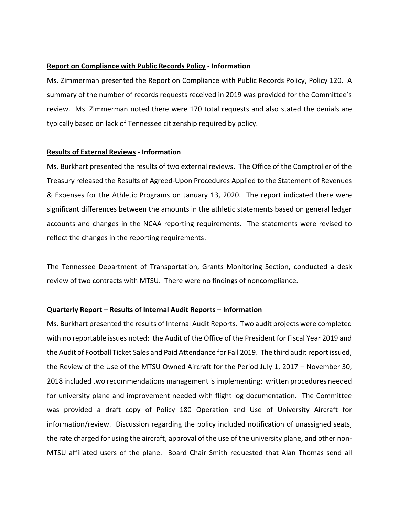#### **Report on Compliance with Public Records Policy - Information**

Ms. Zimmerman presented the Report on Compliance with Public Records Policy, Policy 120. A summary of the number of records requests received in 2019 was provided for the Committee's review. Ms. Zimmerman noted there were 170 total requests and also stated the denials are typically based on lack of Tennessee citizenship required by policy.

#### **Results of External Reviews - Information**

Ms. Burkhart presented the results of two external reviews. The Office of the Comptroller of the Treasury released the Results of Agreed-Upon Procedures Applied to the Statement of Revenues & Expenses for the Athletic Programs on January 13, 2020. The report indicated there were significant differences between the amounts in the athletic statements based on general ledger accounts and changes in the NCAA reporting requirements. The statements were revised to reflect the changes in the reporting requirements.

The Tennessee Department of Transportation, Grants Monitoring Section, conducted a desk review of two contracts with MTSU. There were no findings of noncompliance.

#### **Quarterly Report – Results of Internal Audit Reports – Information**

Ms. Burkhart presented the results of Internal Audit Reports. Two audit projects were completed with no reportable issues noted: the Audit of the Office of the President for Fiscal Year 2019 and the Audit of Football Ticket Sales and Paid Attendance for Fall 2019. The third audit report issued, the Review of the Use of the MTSU Owned Aircraft for the Period July 1, 2017 – November 30, 2018 included two recommendations management is implementing: written procedures needed for university plane and improvement needed with flight log documentation. The Committee was provided a draft copy of Policy 180 Operation and Use of University Aircraft for information/review. Discussion regarding the policy included notification of unassigned seats, the rate charged for using the aircraft, approval of the use of the university plane, and other non-MTSU affiliated users of the plane. Board Chair Smith requested that Alan Thomas send all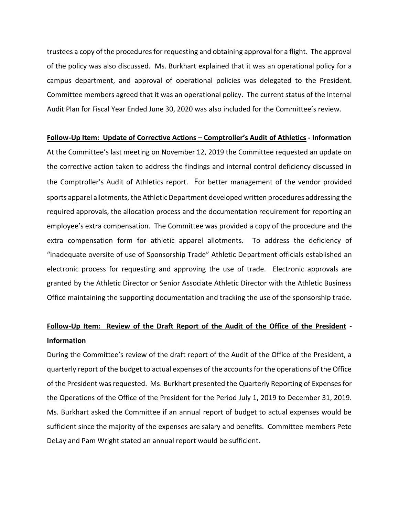trustees a copy of the procedures for requesting and obtaining approval for a flight. The approval of the policy was also discussed. Ms. Burkhart explained that it was an operational policy for a campus department, and approval of operational policies was delegated to the President. Committee members agreed that it was an operational policy. The current status of the Internal Audit Plan for Fiscal Year Ended June 30, 2020 was also included for the Committee's review.

#### **Follow-Up Item: Update of Corrective Actions – Comptroller's Audit of Athletics - Information**

At the Committee's last meeting on November 12, 2019 the Committee requested an update on the corrective action taken to address the findings and internal control deficiency discussed in the Comptroller's Audit of Athletics report. For better management of the vendor provided sports apparel allotments, the Athletic Department developed written procedures addressing the required approvals, the allocation process and the documentation requirement for reporting an employee's extra compensation. The Committee was provided a copy of the procedure and the extra compensation form for athletic apparel allotments. To address the deficiency of "inadequate oversite of use of Sponsorship Trade" Athletic Department officials established an electronic process for requesting and approving the use of trade. Electronic approvals are granted by the Athletic Director or Senior Associate Athletic Director with the Athletic Business Office maintaining the supporting documentation and tracking the use of the sponsorship trade.

# **Follow-Up Item: Review of the Draft Report of the Audit of the Office of the President - Information**

During the Committee's review of the draft report of the Audit of the Office of the President, a quarterly report of the budget to actual expenses of the accounts for the operations of the Office of the President was requested. Ms. Burkhart presented the Quarterly Reporting of Expenses for the Operations of the Office of the President for the Period July 1, 2019 to December 31, 2019. Ms. Burkhart asked the Committee if an annual report of budget to actual expenses would be sufficient since the majority of the expenses are salary and benefits. Committee members Pete DeLay and Pam Wright stated an annual report would be sufficient.